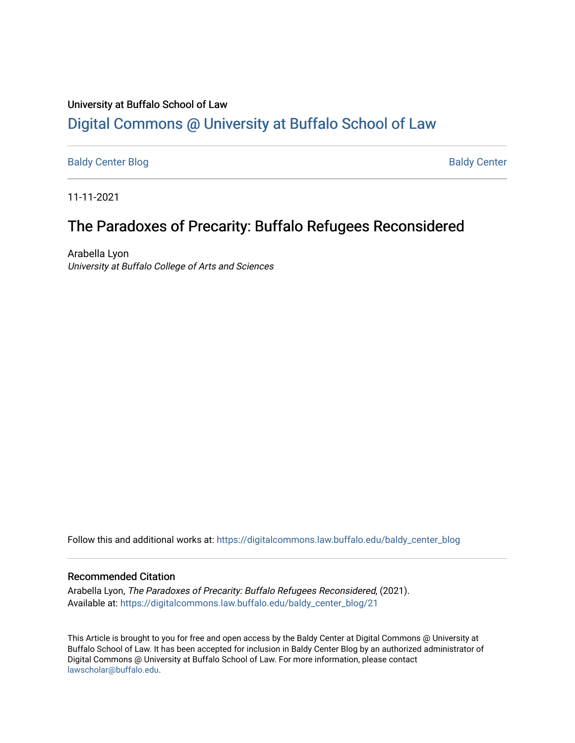### University at Buffalo School of Law [Digital Commons @ University at Buffalo School of Law](https://digitalcommons.law.buffalo.edu/)

[Baldy Center Blog](https://digitalcommons.law.buffalo.edu/baldy_center_blog) Baldy Center

11-11-2021

## The Paradoxes of Precarity: Buffalo Refugees Reconsidered

Arabella Lyon University at Buffalo College of Arts and Sciences

Follow this and additional works at: [https://digitalcommons.law.buffalo.edu/baldy\\_center\\_blog](https://digitalcommons.law.buffalo.edu/baldy_center_blog?utm_source=digitalcommons.law.buffalo.edu%2Fbaldy_center_blog%2F21&utm_medium=PDF&utm_campaign=PDFCoverPages)

#### Recommended Citation

Arabella Lyon, The Paradoxes of Precarity: Buffalo Refugees Reconsidered, (2021). Available at: [https://digitalcommons.law.buffalo.edu/baldy\\_center\\_blog/21](https://digitalcommons.law.buffalo.edu/baldy_center_blog/21?utm_source=digitalcommons.law.buffalo.edu%2Fbaldy_center_blog%2F21&utm_medium=PDF&utm_campaign=PDFCoverPages) 

This Article is brought to you for free and open access by the Baldy Center at Digital Commons @ University at Buffalo School of Law. It has been accepted for inclusion in Baldy Center Blog by an authorized administrator of Digital Commons @ University at Buffalo School of Law. For more information, please contact [lawscholar@buffalo.edu](mailto:lawscholar@buffalo.edu).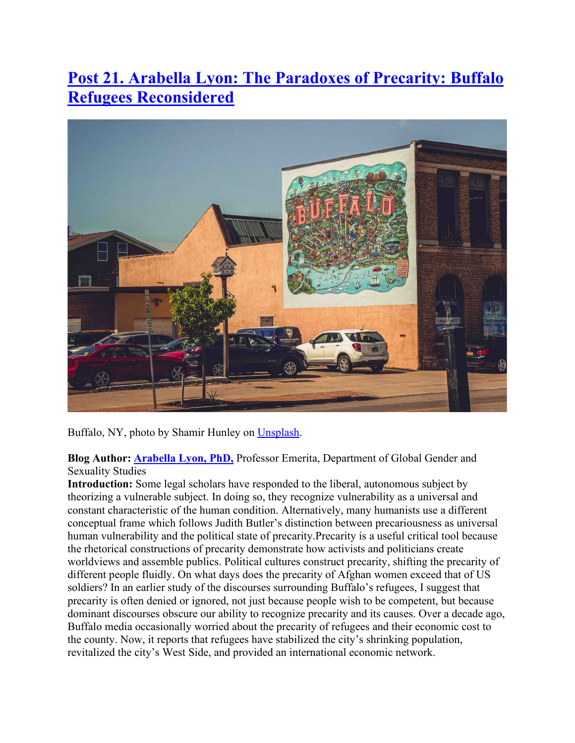# **[Post 21. Arabella Lyon: The Paradoxes of Precarity: Buffalo](http://www.buffalo.edu/baldycenter/multimedia/blog/21-22-posts.html#Arabella-Lyon)  [Refugees Reconsidered](http://www.buffalo.edu/baldycenter/multimedia/blog/21-22-posts.html#Arabella-Lyon)**



Buffalo, NY, photo by Shamir Hunley on [Unsplash.](https://unsplash.com/s/photos/buffalo-ny?utm_source=unsplash&utm_medium=referral&utm_content=creditCopyText)

**Blog Author: [Arabella Lyon, PhD,](https://arts-sciences.buffalo.edu/global-gender-sexuality/faculty/faculty-directory/arabella-lyon.html)** Professor Emerita, Department of Global Gender and Sexuality Studies

**Introduction:** Some legal scholars have responded to the liberal, autonomous subject by theorizing a vulnerable subject. In doing so, they recognize vulnerability as a universal and constant characteristic of the human condition. Alternatively, many humanists use a different conceptual frame which follows Judith Butler's distinction between precariousness as universal human vulnerability and the political state of precarity.Precarity is a useful critical tool because the rhetorical constructions of precarity demonstrate how activists and politicians create worldviews and assemble publics. Political cultures construct precarity, shifting the precarity of different people fluidly. On what days does the precarity of Afghan women exceed that of US soldiers? In an earlier study of the discourses surrounding Buffalo's refugees, I suggest that precarity is often denied or ignored, not just because people wish to be competent, but because dominant discourses obscure our ability to recognize precarity and its causes. Over a decade ago, Buffalo media occasionally worried about the precarity of refugees and their economic cost to the county. Now, it reports that refugees have stabilized the city's shrinking population, revitalized the city's West Side, and provided an international economic network.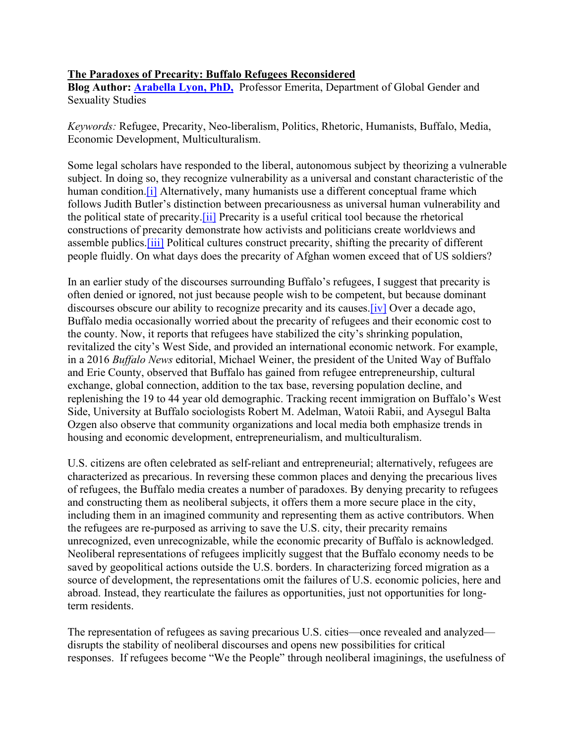#### **The Paradoxes of Precarity: Buffalo Refugees Reconsidered**

**Blog Author: [Arabella Lyon, PhD,](https://arts-sciences.buffalo.edu/global-gender-sexuality/faculty/faculty-directory/arabella-lyon.html)** Professor Emerita, Department of Global Gender and Sexuality Studies

*Keywords:* Refugee, Precarity, Neo-liberalism, Politics, Rhetoric, Humanists, Buffalo, Media, Economic Development, Multiculturalism.

Some legal scholars have responded to the liberal, autonomous subject by theorizing a vulnerable subject. In doing so, they recognize vulnerability as a universal and constant characteristic of the human condition.<sup>[1]</sup> Alternatively, many humanists use a different conceptual frame which follows Judith Butler's distinction between precariousness as universal human vulnerability and the political state of precarity[.\[ii\]](http://www.buffalo.edu/baldycenter/multimedia/blog/21-22-posts.html#_edn2) Precarity is a useful critical tool because the rhetorical constructions of precarity demonstrate how activists and politicians create worldviews and assemble publics[.\[iii\]](http://www.buffalo.edu/baldycenter/multimedia/blog/21-22-posts.html#_edn3) Political cultures construct precarity, shifting the precarity of different people fluidly. On what days does the precarity of Afghan women exceed that of US soldiers?

In an earlier study of the discourses surrounding Buffalo's refugees, I suggest that precarity is often denied or ignored, not just because people wish to be competent, but because dominant discourses obscure our ability to recognize precarity and its causes. [iv] Over a decade ago, Buffalo media occasionally worried about the precarity of refugees and their economic cost to the county. Now, it reports that refugees have stabilized the city's shrinking population, revitalized the city's West Side, and provided an international economic network. For example, in a 2016 *Buffalo News* editorial, Michael Weiner, the president of the United Way of Buffalo and Erie County, observed that Buffalo has gained from refugee entrepreneurship, cultural exchange, global connection, addition to the tax base, reversing population decline, and replenishing the 19 to 44 year old demographic. Tracking recent immigration on Buffalo's West Side, University at Buffalo sociologists Robert M. Adelman, Watoii Rabii, and Aysegul Balta Ozgen also observe that community organizations and local media both emphasize trends in housing and economic development, entrepreneurialism, and multiculturalism.

U.S. citizens are often celebrated as self-reliant and entrepreneurial; alternatively, refugees are characterized as precarious. In reversing these common places and denying the precarious lives of refugees, the Buffalo media creates a number of paradoxes. By denying precarity to refugees and constructing them as neoliberal subjects, it offers them a more secure place in the city, including them in an imagined community and representing them as active contributors. When the refugees are re-purposed as arriving to save the U.S. city, their precarity remains unrecognized, even unrecognizable, while the economic precarity of Buffalo is acknowledged. Neoliberal representations of refugees implicitly suggest that the Buffalo economy needs to be saved by geopolitical actions outside the U.S. borders. In characterizing forced migration as a source of development, the representations omit the failures of U.S. economic policies, here and abroad. Instead, they rearticulate the failures as opportunities, just not opportunities for longterm residents.

The representation of refugees as saving precarious U.S. cities—once revealed and analyzed disrupts the stability of neoliberal discourses and opens new possibilities for critical responses. If refugees become "We the People" through neoliberal imaginings, the usefulness of